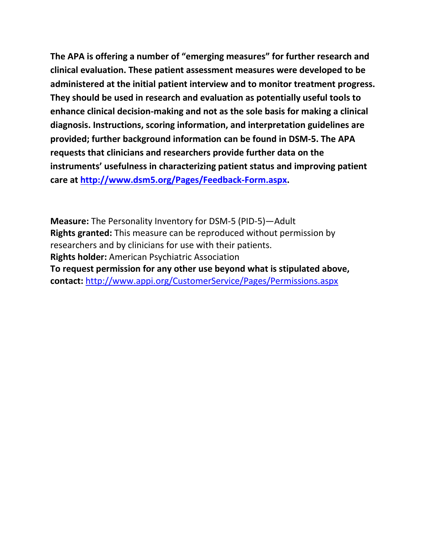**The APA is offering a number of "emerging measures" for further research and clinical evaluation. These patient assessment measures were developed to be administered at the initial patient interview and to monitor treatment progress. They should be used in research and evaluation as potentially useful tools to enhance clinical decision-making and not as the sole basis for making a clinical diagnosis. Instructions, scoring information, and interpretation guidelines are provided; further background information can be found in DSM-5. The APA requests that clinicians and researchers provide further data on the instruments' usefulness in characterizing patient status and improving patient care at [http://www.dsm5.org/Pages/Feedback-Form.aspx.](http://www.dsm5.org/Pages/Feedback-Form.aspx)**

**Measure:** The Personality Inventory for DSM-5 (PID-5)—Adult **Rights granted:** This measure can be reproduced without permission by researchers and by clinicians for use with their patients. **Rights holder:** American Psychiatric Association **To request permission for any other use beyond what is stipulated above, contact:** <http://www.appi.org/CustomerService/Pages/Permissions.aspx>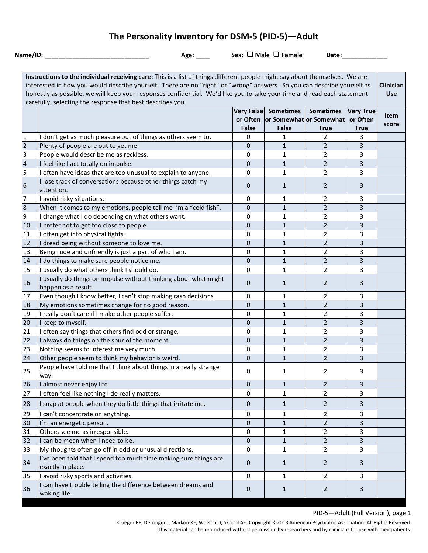# **The Personality Inventory for DSM-5 (PID-5)—Adult**

|                | Name/ID: $\_\_\_\_\_\_\_\$<br>Age: $\_\_$                                                                                   |              | Sex: $\Box$ Male $\Box$ Female            | Date:            |                         |                  |
|----------------|-----------------------------------------------------------------------------------------------------------------------------|--------------|-------------------------------------------|------------------|-------------------------|------------------|
|                |                                                                                                                             |              |                                           |                  |                         |                  |
|                | Instructions to the individual receiving care: This is a list of things different people might say about themselves. We are |              |                                           |                  |                         |                  |
|                | interested in how you would describe yourself. There are no "right" or "wrong" answers. So you can describe yourself as     |              |                                           |                  |                         | <b>Clinician</b> |
|                | honestly as possible, we will keep your responses confidential. We'd like you to take your time and read each statement     |              |                                           |                  |                         | <b>Use</b>       |
|                | carefully, selecting the response that best describes you.                                                                  |              |                                           |                  |                         |                  |
|                |                                                                                                                             |              | Very False Sometimes                      | <b>Sometimes</b> | <b>Very True</b>        | <b>Item</b>      |
|                |                                                                                                                             | <b>False</b> | or Often or Somewhat or Somewhat<br>False | <b>True</b>      | or Often<br><b>True</b> | score            |
| 1              | I don't get as much pleasure out of things as others seem to.                                                               | 0            | 1                                         | $\overline{2}$   | 3                       |                  |
| $\overline{2}$ | Plenty of people are out to get me.                                                                                         | 0            | $\mathbf{1}$                              | $\overline{2}$   | 3                       |                  |
| 3              | People would describe me as reckless.                                                                                       | 0            | $\mathbf{1}$                              | $\overline{2}$   | 3                       |                  |
| 4              | I feel like I act totally on impulse.                                                                                       | 0            | $\mathbf{1}$                              | $\overline{2}$   | 3                       |                  |
| 5              | I often have ideas that are too unusual to explain to anyone.                                                               | 0            | 1                                         | $\overline{2}$   | 3                       |                  |
|                | I lose track of conversations because other things catch my                                                                 |              |                                           |                  |                         |                  |
| 6              | attention.                                                                                                                  | 0            | 1                                         | $\overline{2}$   | 3                       |                  |
| 7              | I avoid risky situations.                                                                                                   | 0            | 1                                         | 2                | 3                       |                  |
| 8              | When it comes to my emotions, people tell me I'm a "cold fish".                                                             | 0            | $\mathbf{1}$                              | $\overline{2}$   | 3                       |                  |
| 9              | I change what I do depending on what others want.                                                                           | 0            | 1                                         | $\overline{2}$   | 3                       |                  |
| 10             | I prefer not to get too close to people.                                                                                    | 0            | $\mathbf{1}$                              | $\overline{2}$   | 3                       |                  |
| 11             | I often get into physical fights.                                                                                           | 0            | $\mathbf{1}$                              | $\overline{2}$   | 3                       |                  |
| 12             | I dread being without someone to love me.                                                                                   | 0            | $\mathbf{1}$                              | $\overline{2}$   | 3                       |                  |
| 13             | Being rude and unfriendly is just a part of who I am.                                                                       | 0            | $\mathbf{1}$                              | $\overline{2}$   | 3                       |                  |
| 14             | I do things to make sure people notice me.                                                                                  | 0            | $\mathbf{1}$                              | $\overline{2}$   | 3                       |                  |
| 15             | I usually do what others think I should do.                                                                                 | 0            | $\mathbf{1}$                              | $\overline{2}$   | 3                       |                  |
| 16             | I usually do things on impulse without thinking about what might<br>happen as a result.                                     | 0            | $\mathbf{1}$                              | $\overline{2}$   | 3                       |                  |
| 17             | Even though I know better, I can't stop making rash decisions.                                                              | 0            | $\mathbf{1}$                              | $\overline{2}$   | 3                       |                  |
| 18             | My emotions sometimes change for no good reason.                                                                            | 0            | $\mathbf{1}$                              | $\overline{2}$   | 3                       |                  |
| 19             | I really don't care if I make other people suffer.                                                                          | 0            | $\mathbf{1}$                              | $\overline{2}$   | 3                       |                  |
| 20             | I keep to myself.                                                                                                           | 0            | $\mathbf{1}$                              | $\overline{2}$   | 3                       |                  |
| 21             | I often say things that others find odd or strange.                                                                         | 0            | $\mathbf{1}$                              | $\overline{2}$   | 3                       |                  |
| 22             | I always do things on the spur of the moment.                                                                               | 0            | $\mathbf{1}$                              | $\overline{2}$   | 3                       |                  |
| 23             | Nothing seems to interest me very much.                                                                                     | 0            | $\mathbf{1}$                              | $\overline{2}$   | 3                       |                  |
| 24             | Other people seem to think my behavior is weird.                                                                            | 0            | $1\,$                                     | $\overline{2}$   | 3                       |                  |
| 25             | People have told me that I think about things in a really strange<br>way.                                                   | 0            | $\mathbf{1}$                              | $\overline{2}$   | 3                       |                  |
| 26             | I almost never enjoy life.                                                                                                  | $\mathbf{0}$ | $\mathbf{1}$                              | $\overline{2}$   | 3                       |                  |
| 27             | I often feel like nothing I do really matters.                                                                              | 0            | $\mathbf{1}$                              | $\overline{2}$   | 3                       |                  |
| 28             | I snap at people when they do little things that irritate me.                                                               | 0            | $\mathbf{1}$                              | $\overline{2}$   | 3                       |                  |
| 29             | I can't concentrate on anything.                                                                                            | 0            | 1                                         | $\overline{2}$   | 3                       |                  |
| 30             | I'm an energetic person.                                                                                                    | 0            | 1                                         | $\overline{2}$   | 3                       |                  |
| 31             | Others see me as irresponsible.                                                                                             | 0            | 1                                         | $\overline{2}$   | 3                       |                  |
| 32             | I can be mean when I need to be.                                                                                            | 0            | 1                                         | $\overline{2}$   | 3                       |                  |
| 33             | My thoughts often go off in odd or unusual directions.                                                                      | $\mathbf 0$  | $\mathbf{1}$                              | $\overline{2}$   | 3                       |                  |
| 34             | I've been told that I spend too much time making sure things are<br>exactly in place.                                       | $\mathbf{0}$ | $\mathbf{1}$                              | $\overline{2}$   | 3                       |                  |
| 35             | I avoid risky sports and activities.                                                                                        | 0            | $\mathbf{1}$                              | $\overline{2}$   | 3                       |                  |
| 36             | I can have trouble telling the difference between dreams and<br>waking life.                                                | 0            | $\mathbf{1}$                              | $\overline{2}$   | 3                       |                  |

PID-5—Adult (Full Version), page 1

Krueger RF, Derringer J, Markon KE, Watson D, Skodol AE. Copyright ©2013 American Psychiatric Association. All Rights Reserved. This material can be reproduced without permission by researchers and by clinicians for use with their patients.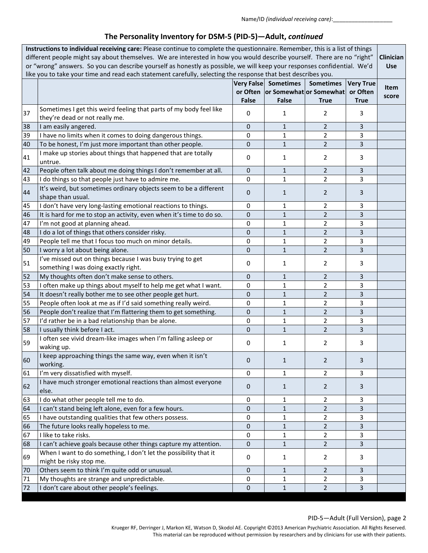| Instructions to individual receiving care: Please continue to complete the questionnaire. Remember, this is a list of things<br>different people might say about themselves. We are interested in how you would describe yourself. There are no "right"<br>or "wrong" answers. So you can describe yourself as honestly as possible, we will keep your responses confidential. We'd<br>like you to take your time and read each statement carefully, selecting the response that best describes you. |                                                                                                      |                            |                                                                          |                                 |                                             | Clinician<br><b>Use</b> |
|------------------------------------------------------------------------------------------------------------------------------------------------------------------------------------------------------------------------------------------------------------------------------------------------------------------------------------------------------------------------------------------------------------------------------------------------------------------------------------------------------|------------------------------------------------------------------------------------------------------|----------------------------|--------------------------------------------------------------------------|---------------------------------|---------------------------------------------|-------------------------|
|                                                                                                                                                                                                                                                                                                                                                                                                                                                                                                      |                                                                                                      | Very False<br><b>False</b> | <b>Sometimes</b><br>or Often   or Somewhat   or Somewhat<br><b>False</b> | <b>Sometimes</b><br><b>True</b> | <b>Very True</b><br>or Often<br><b>True</b> | Item<br>score           |
| 37                                                                                                                                                                                                                                                                                                                                                                                                                                                                                                   | Sometimes I get this weird feeling that parts of my body feel like<br>they're dead or not really me. | 0                          | 1                                                                        | 2                               | 3                                           |                         |
| 38                                                                                                                                                                                                                                                                                                                                                                                                                                                                                                   | I am easily angered.                                                                                 | $\mathbf{0}$               | $\mathbf{1}$                                                             | $\overline{2}$                  | 3                                           |                         |
| 39                                                                                                                                                                                                                                                                                                                                                                                                                                                                                                   | I have no limits when it comes to doing dangerous things.                                            | 0                          | $\mathbf{1}$                                                             | $\overline{2}$                  | 3                                           |                         |
| 40                                                                                                                                                                                                                                                                                                                                                                                                                                                                                                   | To be honest, I'm just more important than other people.                                             | 0                          | $\mathbf{1}$                                                             | $\overline{2}$                  | $\overline{3}$                              |                         |
| 41                                                                                                                                                                                                                                                                                                                                                                                                                                                                                                   | I make up stories about things that happened that are totally<br>untrue.                             | 0                          | $\mathbf{1}$                                                             | 2                               | 3                                           |                         |
| 42                                                                                                                                                                                                                                                                                                                                                                                                                                                                                                   | People often talk about me doing things I don't remember at all.                                     | 0                          | $\mathbf{1}$                                                             | $\overline{2}$                  | 3                                           |                         |
| 43                                                                                                                                                                                                                                                                                                                                                                                                                                                                                                   | I do things so that people just have to admire me.                                                   | 0                          | $\mathbf{1}$                                                             | $\overline{2}$                  | 3                                           |                         |
| 44                                                                                                                                                                                                                                                                                                                                                                                                                                                                                                   | It's weird, but sometimes ordinary objects seem to be a different<br>shape than usual.               | 0                          | $\mathbf{1}$                                                             | $\overline{2}$                  | 3                                           |                         |
| 45                                                                                                                                                                                                                                                                                                                                                                                                                                                                                                   | I don't have very long-lasting emotional reactions to things.                                        | 0                          | $\mathbf{1}$                                                             | $\overline{2}$                  | 3                                           |                         |
| 46                                                                                                                                                                                                                                                                                                                                                                                                                                                                                                   | It is hard for me to stop an activity, even when it's time to do so.                                 | 0                          | $\mathbf{1}$                                                             | $\overline{2}$                  | 3                                           |                         |
| 47                                                                                                                                                                                                                                                                                                                                                                                                                                                                                                   | I'm not good at planning ahead.                                                                      | 0                          | $\mathbf{1}$                                                             | $\overline{2}$                  | 3                                           |                         |
| 48                                                                                                                                                                                                                                                                                                                                                                                                                                                                                                   | I do a lot of things that others consider risky.                                                     | 0                          | $\mathbf{1}$                                                             | $\overline{2}$                  | 3                                           |                         |
| 49                                                                                                                                                                                                                                                                                                                                                                                                                                                                                                   | People tell me that I focus too much on minor details.                                               | 0                          | 1                                                                        | $\overline{2}$                  | 3                                           |                         |
| 50                                                                                                                                                                                                                                                                                                                                                                                                                                                                                                   | I worry a lot about being alone.                                                                     | 0                          | $\mathbf{1}$                                                             | $\overline{2}$                  | 3                                           |                         |
| 51                                                                                                                                                                                                                                                                                                                                                                                                                                                                                                   | I've missed out on things because I was busy trying to get<br>something I was doing exactly right.   | 0                          | 1                                                                        | 2                               | 3                                           |                         |
| 52                                                                                                                                                                                                                                                                                                                                                                                                                                                                                                   | My thoughts often don't make sense to others.                                                        | 0                          | $\mathbf{1}$                                                             | $\overline{2}$                  | 3                                           |                         |
| 53                                                                                                                                                                                                                                                                                                                                                                                                                                                                                                   | I often make up things about myself to help me get what I want.                                      | 0                          | $\mathbf{1}$                                                             | $\overline{2}$                  | 3                                           |                         |
| 54                                                                                                                                                                                                                                                                                                                                                                                                                                                                                                   | It doesn't really bother me to see other people get hurt.                                            | 0                          | $\mathbf{1}$                                                             | $\overline{2}$                  | 3                                           |                         |
| 55                                                                                                                                                                                                                                                                                                                                                                                                                                                                                                   | People often look at me as if I'd said something really weird.                                       | 0                          | $\mathbf{1}$                                                             | $\overline{2}$                  | 3                                           |                         |
| 56                                                                                                                                                                                                                                                                                                                                                                                                                                                                                                   | People don't realize that I'm flattering them to get something.                                      | 0                          | $\mathbf{1}$                                                             | $\overline{2}$                  | $\overline{3}$                              |                         |
| 57                                                                                                                                                                                                                                                                                                                                                                                                                                                                                                   | I'd rather be in a bad relationship than be alone.                                                   | 0                          | 1                                                                        | $\overline{2}$                  | 3                                           |                         |
| 58                                                                                                                                                                                                                                                                                                                                                                                                                                                                                                   | I usually think before I act.                                                                        | 0                          | $\mathbf{1}$                                                             | $\overline{2}$                  | 3                                           |                         |
| 59                                                                                                                                                                                                                                                                                                                                                                                                                                                                                                   | I often see vivid dream-like images when I'm falling asleep or<br>waking up.                         | 0                          | 1                                                                        | 2                               | 3                                           |                         |
| 60                                                                                                                                                                                                                                                                                                                                                                                                                                                                                                   | I keep approaching things the same way, even when it isn't<br>working.                               | 0                          | $\mathbf{1}$                                                             | $\overline{2}$                  | 3                                           |                         |
| 61                                                                                                                                                                                                                                                                                                                                                                                                                                                                                                   | I'm very dissatisfied with myself.                                                                   | 0                          | 1                                                                        | $\overline{2}$                  | 3                                           |                         |
| 62                                                                                                                                                                                                                                                                                                                                                                                                                                                                                                   | I have much stronger emotional reactions than almost everyone<br>else.                               | $\mathbf{0}$               | $\mathbf{1}$                                                             | $\overline{2}$                  | 3                                           |                         |
| 63                                                                                                                                                                                                                                                                                                                                                                                                                                                                                                   | I do what other people tell me to do.                                                                | 0                          | 1                                                                        | 2                               | 3                                           |                         |
| 64                                                                                                                                                                                                                                                                                                                                                                                                                                                                                                   | I can't stand being left alone, even for a few hours.                                                | 0                          | 1                                                                        | $\overline{2}$                  | 3                                           |                         |
| 65                                                                                                                                                                                                                                                                                                                                                                                                                                                                                                   | I have outstanding qualities that few others possess.                                                | 0                          | $\mathbf{1}$                                                             | 2                               | 3                                           |                         |
| 66                                                                                                                                                                                                                                                                                                                                                                                                                                                                                                   | The future looks really hopeless to me.                                                              | 0                          | $\mathbf{1}$                                                             | $\overline{2}$                  | 3                                           |                         |
| 67                                                                                                                                                                                                                                                                                                                                                                                                                                                                                                   | I like to take risks.                                                                                | 0                          | $\mathbf{1}$                                                             | $\overline{2}$                  | 3                                           |                         |
| 68                                                                                                                                                                                                                                                                                                                                                                                                                                                                                                   | I can't achieve goals because other things capture my attention.                                     | 0                          | $\mathbf{1}$                                                             | $\overline{2}$                  | $\overline{3}$                              |                         |
| 69                                                                                                                                                                                                                                                                                                                                                                                                                                                                                                   | When I want to do something, I don't let the possibility that it<br>might be risky stop me.          | 0                          | 1                                                                        | $\overline{2}$                  | 3                                           |                         |
| 70                                                                                                                                                                                                                                                                                                                                                                                                                                                                                                   | Others seem to think I'm quite odd or unusual.                                                       | 0                          | 1                                                                        | $\overline{2}$                  | 3                                           |                         |
| 71                                                                                                                                                                                                                                                                                                                                                                                                                                                                                                   | My thoughts are strange and unpredictable.                                                           | 0                          | 1                                                                        | $\overline{2}$                  | 3                                           |                         |
| 72                                                                                                                                                                                                                                                                                                                                                                                                                                                                                                   | I don't care about other people's feelings.                                                          | 0                          | $\mathbf{1}$                                                             | $\overline{2}$                  | $\overline{3}$                              |                         |

#### PID-5—Adult (Full Version), page 2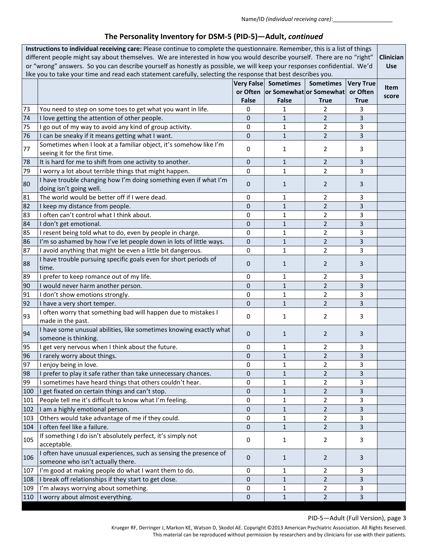| Instructions to individual receiving care: Please continue to complete the questionnaire. Remember, this is a list of things<br>different people might say about themselves. We are interested in how you would describe yourself. There are no "right"<br>or "wrong" answers. So you can describe yourself as honestly as possible, we will keep your responses confidential. We'd<br>like you to take your time and read each statement carefully, selecting the response that best describes you. |                                                                                                        |                                   |                                                                          |                                 | Clinician<br><b>Use</b>                     |               |
|------------------------------------------------------------------------------------------------------------------------------------------------------------------------------------------------------------------------------------------------------------------------------------------------------------------------------------------------------------------------------------------------------------------------------------------------------------------------------------------------------|--------------------------------------------------------------------------------------------------------|-----------------------------------|--------------------------------------------------------------------------|---------------------------------|---------------------------------------------|---------------|
|                                                                                                                                                                                                                                                                                                                                                                                                                                                                                                      |                                                                                                        | <b>Very False</b><br><b>False</b> | <b>Sometimes</b><br>or Often   or Somewhat   or Somewhat<br><b>False</b> | <b>Sometimes</b><br><b>True</b> | <b>Very True</b><br>or Often<br><b>True</b> | Item<br>score |
| 73                                                                                                                                                                                                                                                                                                                                                                                                                                                                                                   | You need to step on some toes to get what you want in life.                                            | 0                                 | 1                                                                        | $\overline{2}$                  | 3                                           |               |
| 74                                                                                                                                                                                                                                                                                                                                                                                                                                                                                                   | I love getting the attention of other people.                                                          | $\mathbf{0}$                      | $\mathbf{1}$                                                             | $\overline{2}$                  | 3                                           |               |
| 75                                                                                                                                                                                                                                                                                                                                                                                                                                                                                                   | I go out of my way to avoid any kind of group activity.                                                | 0                                 | 1                                                                        | 2                               | 3                                           |               |
| 76                                                                                                                                                                                                                                                                                                                                                                                                                                                                                                   | I can be sneaky if it means getting what I want.                                                       | $\mathbf{0}$                      | $\mathbf{1}$                                                             | $\overline{2}$                  | 3                                           |               |
| 77                                                                                                                                                                                                                                                                                                                                                                                                                                                                                                   | Sometimes when I look at a familiar object, it's somehow like I'm<br>seeing it for the first time.     | 0                                 | 1                                                                        | 2                               | 3                                           |               |
| 78                                                                                                                                                                                                                                                                                                                                                                                                                                                                                                   | It is hard for me to shift from one activity to another.                                               | 0                                 | $\mathbf{1}$                                                             | $\overline{2}$                  | 3                                           |               |
| 79                                                                                                                                                                                                                                                                                                                                                                                                                                                                                                   | I worry a lot about terrible things that might happen.                                                 | $\mathbf 0$                       | $\mathbf{1}$                                                             | $\overline{2}$                  | 3                                           |               |
| 80                                                                                                                                                                                                                                                                                                                                                                                                                                                                                                   | I have trouble changing how I'm doing something even if what I'm<br>doing isn't going well.            | $\mathbf 0$                       | $\mathbf{1}$                                                             | $\overline{2}$                  | 3                                           |               |
| 81                                                                                                                                                                                                                                                                                                                                                                                                                                                                                                   | The world would be better off if I were dead.                                                          | 0                                 | 1                                                                        | $\overline{2}$                  | 3                                           |               |
| 82                                                                                                                                                                                                                                                                                                                                                                                                                                                                                                   | I keep my distance from people.                                                                        | $\mathbf{0}$                      | $\mathbf{1}$                                                             | $\overline{2}$                  | 3                                           |               |
| 83                                                                                                                                                                                                                                                                                                                                                                                                                                                                                                   | I often can't control what I think about.                                                              | 0                                 | 1                                                                        | 2                               | 3                                           |               |
| 84                                                                                                                                                                                                                                                                                                                                                                                                                                                                                                   | I don't get emotional.                                                                                 | 0                                 | $\mathbf{1}$                                                             | $\overline{2}$                  | 3                                           |               |
| 85                                                                                                                                                                                                                                                                                                                                                                                                                                                                                                   | I resent being told what to do, even by people in charge.                                              | 0                                 | 1                                                                        | $\overline{2}$                  | 3                                           |               |
| 86                                                                                                                                                                                                                                                                                                                                                                                                                                                                                                   | I'm so ashamed by how I've let people down in lots of little ways.                                     | 0                                 | $\mathbf{1}$                                                             | $\overline{2}$                  | 3                                           |               |
| 87                                                                                                                                                                                                                                                                                                                                                                                                                                                                                                   | I avoid anything that might be even a little bit dangerous.                                            | 0                                 | $\mathbf{1}$                                                             | $\overline{2}$                  | 3                                           |               |
| 88                                                                                                                                                                                                                                                                                                                                                                                                                                                                                                   | I have trouble pursuing specific goals even for short periods of<br>time.                              | $\mathbf{0}$                      | $\mathbf{1}$                                                             | $\overline{2}$                  | 3                                           |               |
| 89                                                                                                                                                                                                                                                                                                                                                                                                                                                                                                   | I prefer to keep romance out of my life.                                                               | 0                                 | $\mathbf{1}$                                                             | $\overline{2}$                  | 3                                           |               |
| 90                                                                                                                                                                                                                                                                                                                                                                                                                                                                                                   | I would never harm another person.                                                                     | $\mathbf{0}$                      | $\mathbf{1}$                                                             | $\overline{2}$                  | 3                                           |               |
| 91                                                                                                                                                                                                                                                                                                                                                                                                                                                                                                   | I don't show emotions strongly.                                                                        | 0                                 | 1                                                                        | $\overline{2}$                  | 3                                           |               |
| 92                                                                                                                                                                                                                                                                                                                                                                                                                                                                                                   | I have a very short temper.                                                                            | 0                                 | $\mathbf{1}$                                                             | $\overline{2}$                  | 3                                           |               |
| 93                                                                                                                                                                                                                                                                                                                                                                                                                                                                                                   | I often worry that something bad will happen due to mistakes I<br>made in the past.                    | 0                                 | 1                                                                        | 2                               | 3                                           |               |
| 94                                                                                                                                                                                                                                                                                                                                                                                                                                                                                                   | I have some unusual abilities, like sometimes knowing exactly what<br>someone is thinking.             | $\mathbf{0}$                      | $\mathbf{1}$                                                             | $\overline{2}$                  | 3                                           |               |
| 95                                                                                                                                                                                                                                                                                                                                                                                                                                                                                                   | I get very nervous when I think about the future.                                                      | 0                                 | 1                                                                        | $\overline{2}$                  | 3                                           |               |
| 96                                                                                                                                                                                                                                                                                                                                                                                                                                                                                                   | I rarely worry about things.                                                                           | 0                                 | $\mathbf{1}$                                                             | $\overline{2}$                  | 3                                           |               |
| 97                                                                                                                                                                                                                                                                                                                                                                                                                                                                                                   | I enjoy being in love.                                                                                 | 0                                 | $\mathbf{1}$                                                             | $\overline{2}$                  | 3                                           |               |
| 98                                                                                                                                                                                                                                                                                                                                                                                                                                                                                                   | I prefer to play it safe rather than take unnecessary chances.                                         | 0                                 | $\mathbf{1}$                                                             | $\overline{2}$                  | 3                                           |               |
| 99                                                                                                                                                                                                                                                                                                                                                                                                                                                                                                   | I sometimes have heard things that others couldn't hear.                                               | 0                                 | 1                                                                        | 2                               | 3                                           |               |
| 100                                                                                                                                                                                                                                                                                                                                                                                                                                                                                                  | I get fixated on certain things and can't stop.                                                        | 0                                 | $\mathbf{1}$                                                             | $\overline{2}$                  | 3                                           |               |
| 101                                                                                                                                                                                                                                                                                                                                                                                                                                                                                                  | People tell me it's difficult to know what I'm feeling.                                                | 0                                 | 1                                                                        | 2                               | 3                                           |               |
| 102                                                                                                                                                                                                                                                                                                                                                                                                                                                                                                  | I am a highly emotional person.                                                                        | 0                                 | $\mathbf{1}$                                                             | $\overline{2}$                  | 3                                           |               |
| 103                                                                                                                                                                                                                                                                                                                                                                                                                                                                                                  | Others would take advantage of me if they could.                                                       | 0                                 | $\mathbf{1}$                                                             | $\overline{2}$                  | 3                                           |               |
| 104                                                                                                                                                                                                                                                                                                                                                                                                                                                                                                  | I often feel like a failure.                                                                           | $\mathbf{0}$                      | $\mathbf{1}$                                                             | $\overline{2}$                  | 3                                           |               |
| 105                                                                                                                                                                                                                                                                                                                                                                                                                                                                                                  | If something I do isn't absolutely perfect, it's simply not<br>acceptable.                             | $\mathbf 0$                       | $\mathbf{1}$                                                             | $\overline{2}$                  | 3                                           |               |
| 106                                                                                                                                                                                                                                                                                                                                                                                                                                                                                                  | I often have unusual experiences, such as sensing the presence of<br>someone who isn't actually there. | 0                                 | $\mathbf{1}$                                                             | $\overline{2}$                  | 3                                           |               |
| 107                                                                                                                                                                                                                                                                                                                                                                                                                                                                                                  | I'm good at making people do what I want them to do.                                                   | 0                                 | 1                                                                        | 2                               | 3                                           |               |
| 108                                                                                                                                                                                                                                                                                                                                                                                                                                                                                                  | I break off relationships if they start to get close.                                                  | $\mathbf{0}$                      | $\mathbf{1}$                                                             | $\overline{2}$                  | 3                                           |               |
| 109                                                                                                                                                                                                                                                                                                                                                                                                                                                                                                  | I'm always worrying about something.                                                                   | 0                                 | 1                                                                        | 2                               | 3                                           |               |
| 110                                                                                                                                                                                                                                                                                                                                                                                                                                                                                                  | I worry about almost everything.                                                                       | 0                                 | $\mathbf 1$                                                              | $\overline{2}$                  | 3                                           |               |

### PID-5—Adult (Full Version), page 3

Krueger RF, Derringer J, Markon KE, Watson D, Skodol AE. Copyright ©2013 American Psychiatric Association. All Rights Reserved. This material can be reproduced without permission by researchers and by clinicians for use with their patients.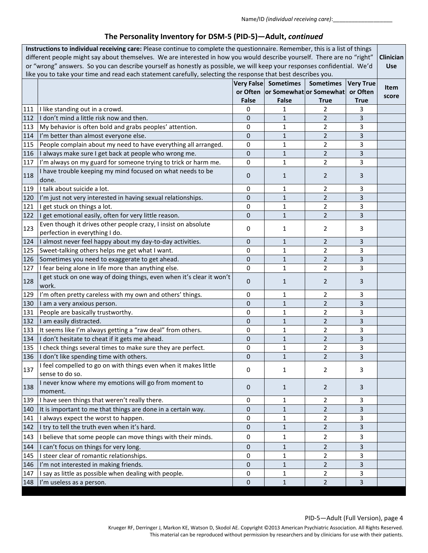| Instructions to individual receiving care: Please continue to complete the questionnaire. Remember, this is a list of things<br>different people might say about themselves. We are interested in how you would describe yourself. There are no "right"<br>or "wrong" answers. So you can describe yourself as honestly as possible, we will keep your responses confidential. We'd |                                                                                                               |              |                                      |                                                                         | <b>Clinician</b><br><b>Use</b>              |               |
|-------------------------------------------------------------------------------------------------------------------------------------------------------------------------------------------------------------------------------------------------------------------------------------------------------------------------------------------------------------------------------------|---------------------------------------------------------------------------------------------------------------|--------------|--------------------------------------|-------------------------------------------------------------------------|---------------------------------------------|---------------|
|                                                                                                                                                                                                                                                                                                                                                                                     | like you to take your time and read each statement carefully, selecting the response that best describes you. | <b>False</b> | Very False Sometimes<br><b>False</b> | <b>Sometimes</b><br>or Often   or Somewhat   or Somewhat<br><b>True</b> | <b>Very True</b><br>or Often<br><b>True</b> | Item<br>score |
| 111                                                                                                                                                                                                                                                                                                                                                                                 | I like standing out in a crowd.                                                                               | 0            | 1                                    | 2                                                                       | 3                                           |               |
| 112                                                                                                                                                                                                                                                                                                                                                                                 | I don't mind a little risk now and then.                                                                      | 0            | 1                                    | $\overline{2}$                                                          | 3                                           |               |
| 113                                                                                                                                                                                                                                                                                                                                                                                 | My behavior is often bold and grabs peoples' attention.                                                       | 0            | 1                                    | $\overline{2}$                                                          | 3                                           |               |
| 114                                                                                                                                                                                                                                                                                                                                                                                 | I'm better than almost everyone else.                                                                         | 0            | $\mathbf{1}$                         | $\overline{2}$                                                          | 3                                           |               |
| 115                                                                                                                                                                                                                                                                                                                                                                                 | People complain about my need to have everything all arranged.                                                | 0            | $\mathbf{1}$                         | $\overline{2}$                                                          | 3                                           |               |
| 116                                                                                                                                                                                                                                                                                                                                                                                 | I always make sure I get back at people who wrong me.                                                         | 0            | $\mathbf{1}$                         | $\overline{2}$                                                          | 3                                           |               |
| 117                                                                                                                                                                                                                                                                                                                                                                                 | I'm always on my guard for someone trying to trick or harm me.                                                | 0            | $\mathbf{1}$                         | $\overline{2}$                                                          | 3                                           |               |
| 118                                                                                                                                                                                                                                                                                                                                                                                 | I have trouble keeping my mind focused on what needs to be<br>done.                                           | 0            | $\mathbf{1}$                         | $\overline{2}$                                                          | 3                                           |               |
| 119                                                                                                                                                                                                                                                                                                                                                                                 | I talk about suicide a lot.                                                                                   | 0            | 1                                    | $\overline{2}$                                                          | 3                                           |               |
| 120                                                                                                                                                                                                                                                                                                                                                                                 | I'm just not very interested in having sexual relationships.                                                  | 0            | $\mathbf{1}$                         | $\overline{2}$                                                          | 3                                           |               |
| 121                                                                                                                                                                                                                                                                                                                                                                                 | I get stuck on things a lot.                                                                                  | 0            | 1                                    | $\overline{2}$                                                          | 3                                           |               |
| 122                                                                                                                                                                                                                                                                                                                                                                                 | I get emotional easily, often for very little reason.                                                         | 0            | $\mathbf{1}$                         | $\overline{2}$                                                          | 3                                           |               |
| 123                                                                                                                                                                                                                                                                                                                                                                                 | Even though it drives other people crazy, I insist on absolute<br>perfection in everything I do.              | 0            | 1                                    | $\overline{2}$                                                          | 3                                           |               |
| 124                                                                                                                                                                                                                                                                                                                                                                                 | I almost never feel happy about my day-to-day activities.                                                     | 0            | $\mathbf{1}$                         | $\overline{2}$                                                          | 3                                           |               |
| 125                                                                                                                                                                                                                                                                                                                                                                                 | Sweet-talking others helps me get what I want.                                                                | 0            | $\mathbf 1$                          | $\overline{2}$                                                          | 3                                           |               |
| 126                                                                                                                                                                                                                                                                                                                                                                                 | Sometimes you need to exaggerate to get ahead.                                                                | 0            | $\mathbf{1}$                         | $\overline{2}$                                                          | 3                                           |               |
| 127                                                                                                                                                                                                                                                                                                                                                                                 | I fear being alone in life more than anything else.                                                           | 0            | $\mathbf{1}$                         | $\overline{2}$                                                          | 3                                           |               |
| 128                                                                                                                                                                                                                                                                                                                                                                                 | I get stuck on one way of doing things, even when it's clear it won't<br>work.                                | 0            | 1                                    | $\overline{2}$                                                          | 3                                           |               |
| 129                                                                                                                                                                                                                                                                                                                                                                                 | I'm often pretty careless with my own and others' things.                                                     | 0            | 1                                    | 2                                                                       | 3                                           |               |
| 130                                                                                                                                                                                                                                                                                                                                                                                 | I am a very anxious person.                                                                                   | 0            | $\mathbf{1}$                         | $\overline{2}$                                                          | 3                                           |               |
| 131                                                                                                                                                                                                                                                                                                                                                                                 | People are basically trustworthy.                                                                             | 0            | 1                                    | $\overline{2}$                                                          | 3                                           |               |
| 132                                                                                                                                                                                                                                                                                                                                                                                 | I am easily distracted.                                                                                       | 0            | $\mathbf{1}$                         | $\overline{2}$                                                          | 3                                           |               |
| 133                                                                                                                                                                                                                                                                                                                                                                                 | It seems like I'm always getting a "raw deal" from others.                                                    | 0            | $\mathbf 1$                          | $\overline{2}$                                                          | 3                                           |               |
| 134                                                                                                                                                                                                                                                                                                                                                                                 | I don't hesitate to cheat if it gets me ahead.                                                                | 0            | $\mathbf{1}$                         | $\overline{2}$                                                          | 3                                           |               |
|                                                                                                                                                                                                                                                                                                                                                                                     | 135   I check things several times to make sure they are perfect.                                             | 0            | $\mathbf{1}$                         | $\overline{2}$                                                          | 3                                           |               |
|                                                                                                                                                                                                                                                                                                                                                                                     | 136   I don't like spending time with others.                                                                 | O            | 1                                    | 2                                                                       | 3                                           |               |
| 137                                                                                                                                                                                                                                                                                                                                                                                 | I feel compelled to go on with things even when it makes little<br>sense to do so.                            | 0            | 1                                    | $\overline{2}$                                                          | 3                                           |               |
| 138                                                                                                                                                                                                                                                                                                                                                                                 | I never know where my emotions will go from moment to<br>moment.                                              | 0            | $\mathbf{1}$                         | $\overline{2}$                                                          | 3                                           |               |
| 139                                                                                                                                                                                                                                                                                                                                                                                 | I have seen things that weren't really there.                                                                 | 0            | 1                                    | 2                                                                       | 3                                           |               |
| 140                                                                                                                                                                                                                                                                                                                                                                                 | It is important to me that things are done in a certain way.                                                  | 0            | $\mathbf{1}$                         | $\overline{2}$                                                          | 3                                           |               |
| 141                                                                                                                                                                                                                                                                                                                                                                                 | I always expect the worst to happen.                                                                          | 0            | 1                                    | $\overline{2}$                                                          | 3                                           |               |
| 142                                                                                                                                                                                                                                                                                                                                                                                 | I try to tell the truth even when it's hard.                                                                  | 0            | $\mathbf{1}$                         | $\overline{2}$                                                          | 3                                           |               |
| 143                                                                                                                                                                                                                                                                                                                                                                                 | I believe that some people can move things with their minds.                                                  | 0            | 1                                    | 2                                                                       | 3                                           |               |
| 144                                                                                                                                                                                                                                                                                                                                                                                 | I can't focus on things for very long.                                                                        | 0            | $\mathbf{1}$                         | $\overline{2}$                                                          | 3                                           |               |
| 145                                                                                                                                                                                                                                                                                                                                                                                 | I steer clear of romantic relationships.                                                                      | 0            | 1                                    | $\overline{2}$                                                          | 3                                           |               |
| 146                                                                                                                                                                                                                                                                                                                                                                                 | I'm not interested in making friends.                                                                         | 0            | $\mathbf{1}$                         | $\overline{2}$                                                          | 3                                           |               |
| 147                                                                                                                                                                                                                                                                                                                                                                                 | I say as little as possible when dealing with people.                                                         | 0            | 1                                    | $\overline{2}$                                                          | 3                                           |               |
| 148                                                                                                                                                                                                                                                                                                                                                                                 | I'm useless as a person.                                                                                      | 0            | $\mathbf{1}$                         | $\overline{2}$                                                          | 3                                           |               |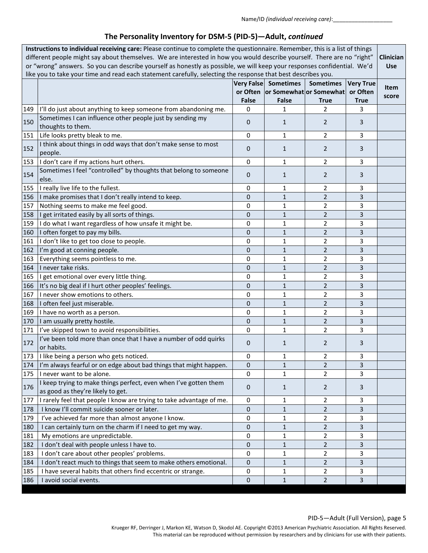| Instructions to individual receiving care: Please continue to complete the questionnaire. Remember, this is a list of things<br>different people might say about themselves. We are interested in how you would describe yourself. There are no "right"<br>or "wrong" answers. So you can describe yourself as honestly as possible, we will keep your responses confidential. We'd<br>like you to take your time and read each statement carefully, selecting the response that best describes you. |                                                                                                       |              |                                                                          |                          | Clinician<br><b>Use</b>                     |                      |
|------------------------------------------------------------------------------------------------------------------------------------------------------------------------------------------------------------------------------------------------------------------------------------------------------------------------------------------------------------------------------------------------------------------------------------------------------------------------------------------------------|-------------------------------------------------------------------------------------------------------|--------------|--------------------------------------------------------------------------|--------------------------|---------------------------------------------|----------------------|
|                                                                                                                                                                                                                                                                                                                                                                                                                                                                                                      |                                                                                                       | <b>False</b> | Very False Sometimes<br>or Often or Somewhat or Somewhat<br><b>False</b> | <b>Sometimes</b><br>True | <b>Very True</b><br>or Often<br><b>True</b> | <b>Item</b><br>score |
| 149                                                                                                                                                                                                                                                                                                                                                                                                                                                                                                  | I'll do just about anything to keep someone from abandoning me.                                       | 0            | 1                                                                        | $\overline{2}$           | 3                                           |                      |
| 150                                                                                                                                                                                                                                                                                                                                                                                                                                                                                                  | Sometimes I can influence other people just by sending my<br>thoughts to them.                        | 0            | $\mathbf{1}$                                                             | 2                        | 3                                           |                      |
| 151                                                                                                                                                                                                                                                                                                                                                                                                                                                                                                  | Life looks pretty bleak to me.                                                                        | 0            | 1                                                                        | 2                        | 3                                           |                      |
| 152                                                                                                                                                                                                                                                                                                                                                                                                                                                                                                  | I think about things in odd ways that don't make sense to most<br>people.                             | 0            | $\mathbf{1}$                                                             | $\overline{2}$           | 3                                           |                      |
| 153                                                                                                                                                                                                                                                                                                                                                                                                                                                                                                  | I don't care if my actions hurt others.                                                               | 0            | $\mathbf{1}$                                                             | $\overline{2}$           | 3                                           |                      |
| 154                                                                                                                                                                                                                                                                                                                                                                                                                                                                                                  | Sometimes I feel "controlled" by thoughts that belong to someone<br>else.                             | $\mathbf{0}$ | $\mathbf{1}$                                                             | $\overline{2}$           | 3                                           |                      |
| 155                                                                                                                                                                                                                                                                                                                                                                                                                                                                                                  | I really live life to the fullest.                                                                    | 0            | 1                                                                        | $\overline{2}$           | 3                                           |                      |
| 156                                                                                                                                                                                                                                                                                                                                                                                                                                                                                                  | I make promises that I don't really intend to keep.                                                   | 0            | $\mathbf{1}$                                                             | $\overline{2}$           | 3                                           |                      |
| 157                                                                                                                                                                                                                                                                                                                                                                                                                                                                                                  | Nothing seems to make me feel good.                                                                   | $\mathbf 0$  | 1                                                                        | $\overline{2}$           | 3                                           |                      |
| 158                                                                                                                                                                                                                                                                                                                                                                                                                                                                                                  | I get irritated easily by all sorts of things.                                                        | $\mathbf{0}$ | 1                                                                        | $\overline{2}$           | 3                                           |                      |
| 159                                                                                                                                                                                                                                                                                                                                                                                                                                                                                                  | I do what I want regardless of how unsafe it might be.                                                | 0            | 1                                                                        | $\overline{2}$           | 3                                           |                      |
| 160                                                                                                                                                                                                                                                                                                                                                                                                                                                                                                  | I often forget to pay my bills.                                                                       | 0            | $\mathbf{1}$                                                             | $\overline{2}$           | 3                                           |                      |
| 161                                                                                                                                                                                                                                                                                                                                                                                                                                                                                                  | I don't like to get too close to people.                                                              | 0            | $\mathbf{1}$                                                             | $\overline{2}$           | 3                                           |                      |
| 162                                                                                                                                                                                                                                                                                                                                                                                                                                                                                                  | I'm good at conning people.                                                                           | $\mathbf{0}$ | $\mathbf{1}$                                                             | $\overline{2}$           | 3                                           |                      |
| 163                                                                                                                                                                                                                                                                                                                                                                                                                                                                                                  | Everything seems pointless to me.                                                                     | 0            | $\mathbf{1}$                                                             | $\overline{2}$           | 3                                           |                      |
| 164                                                                                                                                                                                                                                                                                                                                                                                                                                                                                                  | I never take risks.                                                                                   | 0            | $\mathbf{1}$                                                             | $\overline{2}$           | 3                                           |                      |
| 165                                                                                                                                                                                                                                                                                                                                                                                                                                                                                                  | I get emotional over every little thing.                                                              | 0            | $\mathbf{1}$                                                             | $\overline{2}$           | 3                                           |                      |
| 166                                                                                                                                                                                                                                                                                                                                                                                                                                                                                                  | It's no big deal if I hurt other peoples' feelings.                                                   | 0            | $\mathbf{1}$                                                             | $\overline{2}$           | 3                                           |                      |
| 167                                                                                                                                                                                                                                                                                                                                                                                                                                                                                                  | I never show emotions to others.                                                                      | 0            | 1                                                                        | $\overline{2}$           | 3                                           |                      |
| 168                                                                                                                                                                                                                                                                                                                                                                                                                                                                                                  | I often feel just miserable.                                                                          | 0            | $\mathbf{1}$                                                             | $\overline{2}$           | 3                                           |                      |
| 169                                                                                                                                                                                                                                                                                                                                                                                                                                                                                                  | I have no worth as a person.                                                                          | 0            | 1                                                                        | 2                        | 3                                           |                      |
| 170                                                                                                                                                                                                                                                                                                                                                                                                                                                                                                  | I am usually pretty hostile.                                                                          | 0            | $\mathbf{1}$                                                             | $\overline{2}$           | 3                                           |                      |
| 171                                                                                                                                                                                                                                                                                                                                                                                                                                                                                                  | I've skipped town to avoid responsibilities.                                                          | 0            | 1                                                                        | $\overline{2}$           | 3                                           |                      |
| 172                                                                                                                                                                                                                                                                                                                                                                                                                                                                                                  | I've been told more than once that I have a number of odd quirks<br>or habits.                        | 0            | $\mathbf{1}$                                                             | $\overline{2}$           | 3                                           |                      |
|                                                                                                                                                                                                                                                                                                                                                                                                                                                                                                      | 173   I like being a person who gets noticed.                                                         | 0            | 1                                                                        | 2                        | 3                                           |                      |
| 174                                                                                                                                                                                                                                                                                                                                                                                                                                                                                                  | I'm always fearful or on edge about bad things that might happen.                                     | $\pmb{0}$    | $\mathbf{1}$                                                             | $\overline{2}$           | 3                                           |                      |
| 175                                                                                                                                                                                                                                                                                                                                                                                                                                                                                                  | I never want to be alone.                                                                             | 0            | 1                                                                        | $\overline{2}$           | 3                                           |                      |
| 176                                                                                                                                                                                                                                                                                                                                                                                                                                                                                                  | I keep trying to make things perfect, even when I've gotten them<br>as good as they're likely to get. | $\mathbf 0$  | $\mathbf{1}$                                                             | 2                        | 3                                           |                      |
| 177                                                                                                                                                                                                                                                                                                                                                                                                                                                                                                  | I rarely feel that people I know are trying to take advantage of me.                                  | 0            | 1                                                                        | $\overline{2}$           | 3                                           |                      |
| 178                                                                                                                                                                                                                                                                                                                                                                                                                                                                                                  | I know I'll commit suicide sooner or later.                                                           | 0            | $\mathbf{1}$                                                             | $\overline{2}$           | 3                                           |                      |
| 179                                                                                                                                                                                                                                                                                                                                                                                                                                                                                                  | I've achieved far more than almost anyone I know.                                                     | 0            | 1                                                                        | $\overline{2}$           | 3                                           |                      |
| 180                                                                                                                                                                                                                                                                                                                                                                                                                                                                                                  | I can certainly turn on the charm if I need to get my way.                                            | $\mathbf{0}$ | $\mathbf{1}$                                                             | $\overline{2}$           | 3                                           |                      |
| 181                                                                                                                                                                                                                                                                                                                                                                                                                                                                                                  | My emotions are unpredictable.                                                                        | 0            | 1                                                                        | $\overline{2}$           | 3                                           |                      |
| 182                                                                                                                                                                                                                                                                                                                                                                                                                                                                                                  | I don't deal with people unless I have to.                                                            | $\mathbf 0$  | $\mathbf{1}$                                                             | $\overline{2}$           | 3                                           |                      |
| 183                                                                                                                                                                                                                                                                                                                                                                                                                                                                                                  | I don't care about other peoples' problems.                                                           | 0            | 1                                                                        | 2                        | 3                                           |                      |
| 184                                                                                                                                                                                                                                                                                                                                                                                                                                                                                                  | I don't react much to things that seem to make others emotional.                                      | 0            | $\mathbf{1}$                                                             | $\overline{2}$           | 3                                           |                      |
| 185                                                                                                                                                                                                                                                                                                                                                                                                                                                                                                  | I have several habits that others find eccentric or strange.                                          | 0            | $\mathbf{1}$                                                             | $\overline{2}$           | 3                                           |                      |
| 186                                                                                                                                                                                                                                                                                                                                                                                                                                                                                                  | I avoid social events.                                                                                | 0            | $\mathbf{1}$                                                             | $\overline{2}$           | 3                                           |                      |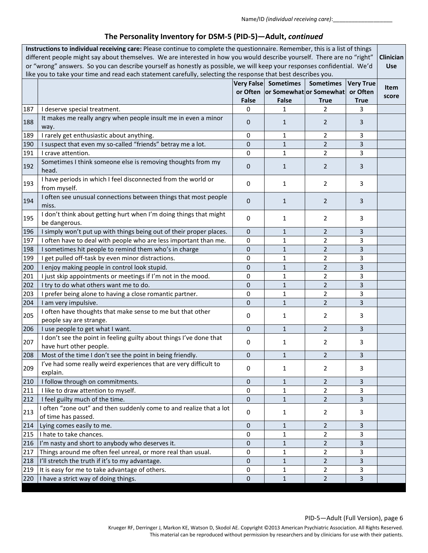| Instructions to individual receiving care: Please continue to complete the questionnaire. Remember, this is a list of things<br>different people might say about themselves. We are interested in how you would describe yourself. There are no "right"<br>or "wrong" answers. So you can describe yourself as honestly as possible, we will keep your responses confidential. We'd<br>like you to take your time and read each statement carefully, selecting the response that best describes you. |                                                                                                |              |                                                                   |                                 | Clinician<br><b>Use</b>                     |               |
|------------------------------------------------------------------------------------------------------------------------------------------------------------------------------------------------------------------------------------------------------------------------------------------------------------------------------------------------------------------------------------------------------------------------------------------------------------------------------------------------------|------------------------------------------------------------------------------------------------|--------------|-------------------------------------------------------------------|---------------------------------|---------------------------------------------|---------------|
|                                                                                                                                                                                                                                                                                                                                                                                                                                                                                                      |                                                                                                | <b>False</b> | Very False Sometimes<br>or Often or Somewhat or Somewhat<br>False | <b>Sometimes</b><br><b>True</b> | <b>Very True</b><br>or Often<br><b>True</b> | Item<br>score |
| 187                                                                                                                                                                                                                                                                                                                                                                                                                                                                                                  | I deserve special treatment.                                                                   | $\mathbf 0$  | 1                                                                 | 2                               | 3                                           |               |
| 188                                                                                                                                                                                                                                                                                                                                                                                                                                                                                                  | It makes me really angry when people insult me in even a minor<br>way.                         | $\mathbf{0}$ | $\mathbf{1}$                                                      | 2                               | 3                                           |               |
| 189                                                                                                                                                                                                                                                                                                                                                                                                                                                                                                  | I rarely get enthusiastic about anything.                                                      | 0            | $\mathbf{1}$                                                      | $\overline{2}$                  | 3                                           |               |
| 190                                                                                                                                                                                                                                                                                                                                                                                                                                                                                                  | I suspect that even my so-called "friends" betray me a lot.                                    | 0            | $\mathbf{1}$                                                      | $\overline{2}$                  | 3                                           |               |
| 191                                                                                                                                                                                                                                                                                                                                                                                                                                                                                                  | I crave attention.                                                                             | $\mathbf 0$  | $\mathbf{1}$                                                      | $\overline{2}$                  | 3                                           |               |
| 192                                                                                                                                                                                                                                                                                                                                                                                                                                                                                                  | Sometimes I think someone else is removing thoughts from my<br>head.                           | $\mathbf{0}$ | $\mathbf{1}$                                                      | $\overline{2}$                  | 3                                           |               |
| 193                                                                                                                                                                                                                                                                                                                                                                                                                                                                                                  | I have periods in which I feel disconnected from the world or<br>from myself.                  | $\mathbf 0$  | $\mathbf{1}$                                                      | 2                               | 3                                           |               |
| 194                                                                                                                                                                                                                                                                                                                                                                                                                                                                                                  | I often see unusual connections between things that most people<br>miss.                       | $\mathbf{0}$ | $\mathbf{1}$                                                      | $\overline{2}$                  | 3                                           |               |
| 195                                                                                                                                                                                                                                                                                                                                                                                                                                                                                                  | I don't think about getting hurt when I'm doing things that might<br>be dangerous.             | $\mathbf 0$  | $\mathbf{1}$                                                      | 2                               | 3                                           |               |
| 196                                                                                                                                                                                                                                                                                                                                                                                                                                                                                                  | I simply won't put up with things being out of their proper places.                            | $\mathbf 0$  | $\mathbf{1}$                                                      | $\overline{2}$                  | 3                                           |               |
| 197                                                                                                                                                                                                                                                                                                                                                                                                                                                                                                  | I often have to deal with people who are less important than me.                               | $\mathbf 0$  | $\mathbf{1}$                                                      | $\overline{2}$                  | 3                                           |               |
| 198                                                                                                                                                                                                                                                                                                                                                                                                                                                                                                  | I sometimes hit people to remind them who's in charge                                          | 0            | $\mathbf{1}$                                                      | $\overline{2}$                  | 3                                           |               |
| 199                                                                                                                                                                                                                                                                                                                                                                                                                                                                                                  | I get pulled off-task by even minor distractions.                                              | 0            | $\mathbf{1}$                                                      | 2                               | 3                                           |               |
| 200                                                                                                                                                                                                                                                                                                                                                                                                                                                                                                  | I enjoy making people in control look stupid.                                                  | $\mathbf{0}$ | $\mathbf{1}$                                                      | $\overline{2}$                  | 3                                           |               |
| 201                                                                                                                                                                                                                                                                                                                                                                                                                                                                                                  | I just skip appointments or meetings if I'm not in the mood.                                   | 0            | 1                                                                 | 2                               | 3                                           |               |
| 202                                                                                                                                                                                                                                                                                                                                                                                                                                                                                                  | I try to do what others want me to do.                                                         | $\mathbf{0}$ | $\mathbf{1}$                                                      | $\overline{2}$                  | 3                                           |               |
| 203                                                                                                                                                                                                                                                                                                                                                                                                                                                                                                  | I prefer being alone to having a close romantic partner.                                       | 0            | $\mathbf{1}$                                                      | $\overline{2}$                  | 3                                           |               |
| 204                                                                                                                                                                                                                                                                                                                                                                                                                                                                                                  | I am very impulsive.                                                                           | $\mathbf{0}$ | $\mathbf{1}$                                                      | $\overline{2}$                  | 3                                           |               |
| 205                                                                                                                                                                                                                                                                                                                                                                                                                                                                                                  | I often have thoughts that make sense to me but that other<br>people say are strange.          | 0            | $\mathbf{1}$                                                      | 2                               | 3                                           |               |
| 206                                                                                                                                                                                                                                                                                                                                                                                                                                                                                                  | I use people to get what I want.                                                               | $\mathbf 0$  | $\mathbf{1}$                                                      | $\overline{2}$                  | 3                                           |               |
| 207                                                                                                                                                                                                                                                                                                                                                                                                                                                                                                  | I don't see the point in feeling guilty about things I've done that<br>have hurt other people. | 0            | 1                                                                 | 2                               | 3                                           |               |
| 208                                                                                                                                                                                                                                                                                                                                                                                                                                                                                                  | Most of the time I don't see the point in being friendly.                                      | 0            | 1                                                                 | $\overline{2}$                  | 3                                           |               |
| 209                                                                                                                                                                                                                                                                                                                                                                                                                                                                                                  | I've had some really weird experiences that are very difficult to<br>explain.                  | $\mathbf 0$  | $\mathbf{1}$                                                      | $\overline{2}$                  | 3                                           |               |
| 210                                                                                                                                                                                                                                                                                                                                                                                                                                                                                                  | I follow through on commitments.                                                               | $\pmb{0}$    | $\mathbf{1}$                                                      | $\overline{2}$                  | $\overline{3}$                              |               |
| 211                                                                                                                                                                                                                                                                                                                                                                                                                                                                                                  | I like to draw attention to myself.                                                            | 0            | $\mathbf{1}$                                                      | $\overline{2}$                  | 3                                           |               |
| 212                                                                                                                                                                                                                                                                                                                                                                                                                                                                                                  | I feel guilty much of the time.                                                                | $\mathbf 0$  | $\mathbf{1}$                                                      | $\overline{2}$                  | 3                                           |               |
| 213                                                                                                                                                                                                                                                                                                                                                                                                                                                                                                  | I often "zone out" and then suddenly come to and realize that a lot<br>of time has passed.     | 0            | 1                                                                 | 2                               | 3                                           |               |
| 214                                                                                                                                                                                                                                                                                                                                                                                                                                                                                                  | Lying comes easily to me.                                                                      | $\mathbf 0$  | $\mathbf{1}$                                                      | $\overline{2}$                  | 3                                           |               |
| 215                                                                                                                                                                                                                                                                                                                                                                                                                                                                                                  | I hate to take chances.                                                                        | 0            | $\mathbf{1}$                                                      | $\overline{2}$                  | 3                                           |               |
| 216                                                                                                                                                                                                                                                                                                                                                                                                                                                                                                  | I'm nasty and short to anybody who deserves it.                                                | $\mathbf{0}$ | $\mathbf{1}$                                                      | $\overline{2}$                  | 3                                           |               |
| 217                                                                                                                                                                                                                                                                                                                                                                                                                                                                                                  | Things around me often feel unreal, or more real than usual.                                   | 0            | $\mathbf{1}$                                                      | $\overline{2}$                  | 3                                           |               |
| 218                                                                                                                                                                                                                                                                                                                                                                                                                                                                                                  | I'll stretch the truth if it's to my advantage.                                                | 0            | $\mathbf{1}$                                                      | $\overline{2}$                  | 3                                           |               |
| 219                                                                                                                                                                                                                                                                                                                                                                                                                                                                                                  | It is easy for me to take advantage of others.                                                 | $\mathbf 0$  | $\mathbf{1}$                                                      | 2                               | 3                                           |               |
| 220                                                                                                                                                                                                                                                                                                                                                                                                                                                                                                  | I have a strict way of doing things.                                                           | 0            | $\mathbf{1}$                                                      | $\overline{2}$                  | 3                                           |               |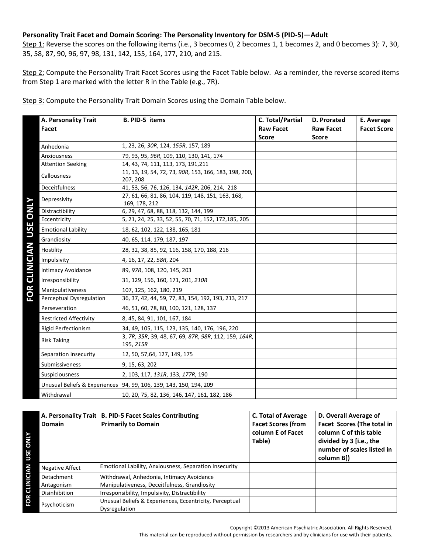### **Personality Trait Facet and Domain Scoring: The Personality Inventory for DSM-5 (PID-5)—Adult**

Step 1: Reverse the scores on the following items (i.e., 3 becomes 0, 2 becomes 1, 1 becomes 2, and 0 becomes 3): 7, 30, 35, 58, 87, 90, 96, 97, 98, 131, 142, 155, 164, 177, 210, and 215.

Step 2: Compute the Personality Trait Facet Scores using the Facet Table below. As a reminder, the reverse scored items from Step 1 are marked with the letter R in the Table (e.g., 7R).

Step 3: Compute the Personality Trait Domain Scores using the Domain Table below.

|                           | A. Personality Trait<br>Facet | <b>B. PID-5 items</b>                                                | C. Total/Partial<br><b>Raw Facet</b><br><b>Score</b> | <b>D. Prorated</b><br><b>Raw Facet</b><br><b>Score</b> | E. Average<br><b>Facet Score</b> |
|---------------------------|-------------------------------|----------------------------------------------------------------------|------------------------------------------------------|--------------------------------------------------------|----------------------------------|
|                           | Anhedonia                     | 1, 23, 26, 30R, 124, 155R, 157, 189                                  |                                                      |                                                        |                                  |
|                           | Anxiousness                   | 79, 93, 95, 96R, 109, 110, 130, 141, 174                             |                                                      |                                                        |                                  |
|                           | <b>Attention Seeking</b>      | 14, 43, 74, 111, 113, 173, 191, 211                                  |                                                      |                                                        |                                  |
|                           | Callousness                   | 11, 13, 19, 54, 72, 73, 90R, 153, 166, 183, 198, 200,<br>207, 208    |                                                      |                                                        |                                  |
|                           | Deceitfulness                 | 41, 53, 56, 76, 126, 134, 142R, 206, 214, 218                        |                                                      |                                                        |                                  |
|                           | Depressivity                  | 27, 61, 66, 81, 86, 104, 119, 148, 151, 163, 168,<br>169, 178, 212   |                                                      |                                                        |                                  |
|                           | Distractibility               | 6, 29, 47, 68, 88, 118, 132, 144, 199                                |                                                      |                                                        |                                  |
|                           | Eccentricity                  | 5, 21, 24, 25, 33, 52, 55, 70, 71, 152, 172, 185, 205                |                                                      |                                                        |                                  |
|                           | <b>Emotional Lability</b>     | 18, 62, 102, 122, 138, 165, 181                                      |                                                      |                                                        |                                  |
|                           | Grandiosity                   | 40, 65, 114, 179, 187, 197                                           |                                                      |                                                        |                                  |
| <b>CLINICIAN USE ONLY</b> | Hostility                     | 28, 32, 38, 85, 92, 116, 158, 170, 188, 216                          |                                                      |                                                        |                                  |
|                           | Impulsivity                   | 4, 16, 17, 22, 58R, 204                                              |                                                      |                                                        |                                  |
|                           | <b>Intimacy Avoidance</b>     | 89, 97R, 108, 120, 145, 203                                          |                                                      |                                                        |                                  |
|                           | Irresponsibility              | 31, 129, 156, 160, 171, 201, 210R                                    |                                                      |                                                        |                                  |
| FOR                       | Manipulativeness              | 107, 125, 162, 180, 219                                              |                                                      |                                                        |                                  |
|                           | Perceptual Dysregulation      | 36, 37, 42, 44, 59, 77, 83, 154, 192, 193, 213, 217                  |                                                      |                                                        |                                  |
|                           | Perseveration                 | 46, 51, 60, 78, 80, 100, 121, 128, 137                               |                                                      |                                                        |                                  |
|                           | <b>Restricted Affectivity</b> | 8, 45, 84, 91, 101, 167, 184                                         |                                                      |                                                        |                                  |
|                           | <b>Rigid Perfectionism</b>    | 34, 49, 105, 115, 123, 135, 140, 176, 196, 220                       |                                                      |                                                        |                                  |
|                           | <b>Risk Taking</b>            | 3, 7R, 35R, 39, 48, 67, 69, 87R, 98R, 112, 159, 164R,<br>195, 215R   |                                                      |                                                        |                                  |
|                           | Separation Insecurity         | 12, 50, 57, 64, 127, 149, 175                                        |                                                      |                                                        |                                  |
|                           | Submissiveness                | 9, 15, 63, 202                                                       |                                                      |                                                        |                                  |
|                           | Suspiciousness                | 2, 103, 117, 131R, 133, 177R, 190                                    |                                                      |                                                        |                                  |
|                           |                               | Unusual Beliefs & Experiences   94, 99, 106, 139, 143, 150, 194, 209 |                                                      |                                                        |                                  |
|                           | Withdrawal                    | 10, 20, 75, 82, 136, 146, 147, 161, 182, 186                         |                                                      |                                                        |                                  |

|                            | A. Personality Trait<br><b>Domain</b> | <b>B. PID-5 Facet Scales Contributing</b><br><b>Primarily to Domain</b>  |
|----------------------------|---------------------------------------|--------------------------------------------------------------------------|
| <b>ATIVO</b><br><b>USE</b> |                                       |                                                                          |
|                            | <b>Negative Affect</b>                | Emotional Lability, Anxiousness, Separation Insecurity                   |
|                            | Detachment                            | Withdrawal, Anhedonia, Intimacy Avoidance                                |
|                            | Antagonism                            | Manipulativeness, Deceitfulness, Grandiosity                             |
|                            | Disinhibition                         | Irresponsibility, Impulsivity, Distractibility                           |
| FOR CLINICIAN              | Psychoticism                          | Unusual Beliefs & Experiences, Eccentricity, Perceptual<br>Dysregulation |
|                            |                                       |                                                                          |

Copyright ©2013 American Psychiatric Association. All Rights Reserved.

**D. Overall Average of Facet Scores (The total in column C of this table divided by 3 [i.e., the number of scales listed in** 

**column B])** 

This material can be reproduced without permission by researchers and by clinicians for use with their patients.

**Table)**

**C. Total of Average Facet Scores (from column E of Facet**